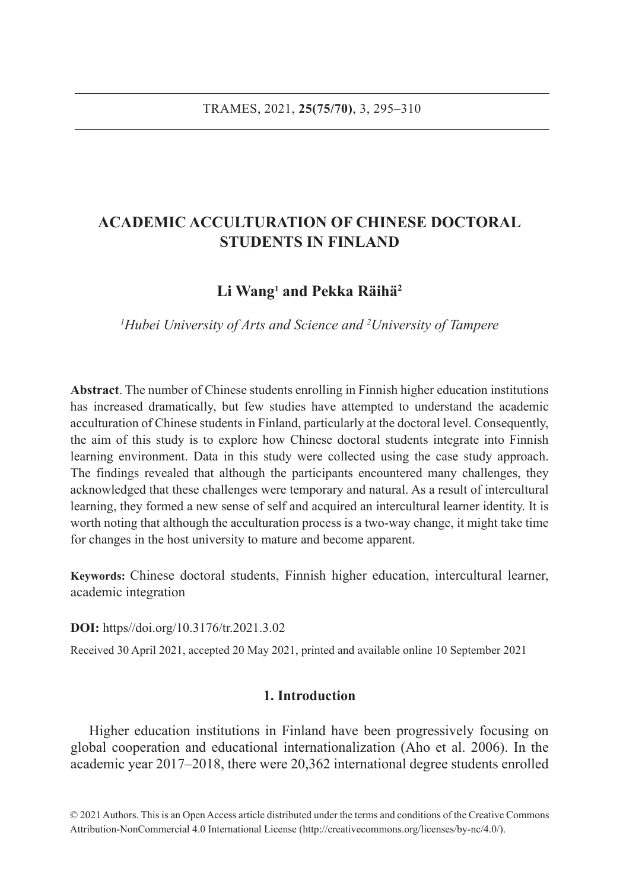# **ACADEMIC ACCULTURATION OF CHINESE DOCTORAL STUDENTS IN FINLAND**

# **Li Wang1 and Pekka Räihä2**

*1 Hubei University of Arts and Science and 2 University of Tampere*

**Abstract**. The number of Chinese students enrolling in Finnish higher education institutions has increased dramatically, but few studies have attempted to understand the academic acculturation of Chinese students in Finland, particularly at the doctoral level. Consequently, the aim of this study is to explore how Chinese doctoral students integrate into Finnish learning environment. Data in this study were collected using the case study approach. The findings revealed that although the participants encountered many challenges, they acknowledged that these challenges were temporary and natural. As a result of intercultural learning, they formed a new sense of self and acquired an intercultural learner identity. It is worth noting that although the acculturation process is a two-way change, it might take time for changes in the host university to mature and become apparent.

**Keywords:** Chinese doctoral students, Finnish higher education, intercultural learner, academic integration

**DOI:** https//doi.org/10.3176/tr.2021.3.02

Received 30 April 2021, accepted 20 May 2021, printed and available online 10 September 2021

# **1. Introduction**

Higher education institutions in Finland have been progressively focusing on global cooperation and educational internationalization (Aho et al. 2006). In the academic year 2017–2018, there were 20,362 international degree students enrolled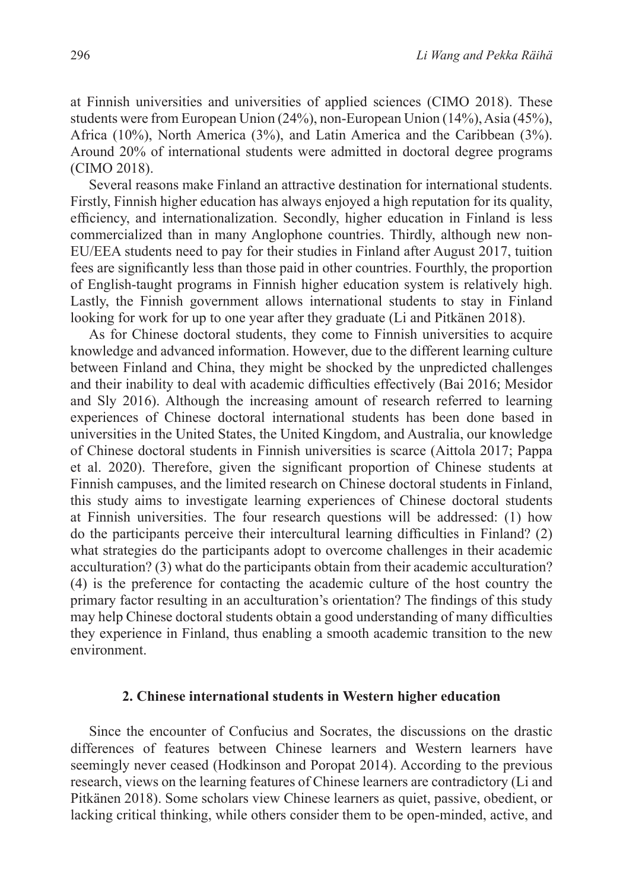at Finnish universities and universities of applied sciences (CIMO 2018). These students were from European Union (24%), non-European Union (14%), Asia (45%), Africa (10%), North America (3%), and Latin America and the Caribbean (3%). Around 20% of international students were admitted in doctoral degree programs (CIMO 2018).

Several reasons make Finland an attractive destination for international students. Firstly, Finnish higher education has always enjoyed a high reputation for its quality, efficiency, and internationalization. Secondly, higher education in Finland is less commercialized than in many Anglophone countries. Thirdly, although new non-EU/EEA students need to pay for their studies in Finland after August 2017, tuition fees are significantly less than those paid in other countries. Fourthly, the proportion of English-taught programs in Finnish higher education system is relatively high. Lastly, the Finnish government allows international students to stay in Finland looking for work for up to one year after they graduate (Li and Pitkänen 2018).

As for Chinese doctoral students, they come to Finnish universities to acquire knowledge and advanced information. However, due to the different learning culture between Finland and China, they might be shocked by the unpredicted challenges and their inability to deal with academic difficulties effectively (Bai 2016; Mesidor and Sly 2016). Although the increasing amount of research referred to learning experiences of Chinese doctoral international students has been done based in universities in the United States, the United Kingdom, and Australia, our knowledge of Chinese doctoral students in Finnish universities is scarce (Aittola 2017; Pappa et al. 2020). Therefore, given the significant proportion of Chinese students at Finnish campuses, and the limited research on Chinese doctoral students in Finland, this study aims to investigate learning experiences of Chinese doctoral students at Finnish universities. The four research questions will be addressed: (1) how do the participants perceive their intercultural learning difficulties in Finland? (2) what strategies do the participants adopt to overcome challenges in their academic acculturation? (3) what do the participants obtain from their academic acculturation? (4) is the preference for contacting the academic culture of the host country the primary factor resulting in an acculturation's orientation? The findings of this study may help Chinese doctoral students obtain a good understanding of many difficulties they experience in Finland, thus enabling a smooth academic transition to the new environment.

### **2. Chinese international students in Western higher education**

Since the encounter of Confucius and Socrates, the discussions on the drastic differences of features between Chinese learners and Western learners have seemingly never ceased (Hodkinson and Poropat 2014). According to the previous research, views on the learning features of Chinese learners are contradictory (Li and Pitkänen 2018). Some scholars view Chinese learners as quiet, passive, obedient, or lacking critical thinking, while others consider them to be open-minded, active, and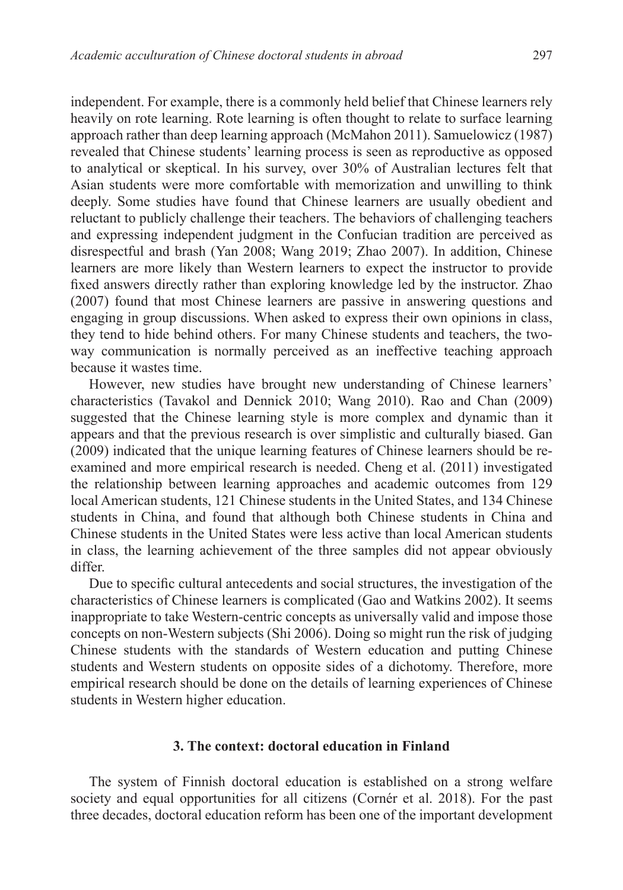independent. For example, there is a commonly held belief that Chinese learners rely heavily on rote learning. Rote learning is often thought to relate to surface learning approach rather than deep learning approach (McMahon 2011). Samuelowicz (1987) revealed that Chinese students' learning process is seen as reproductive as opposed to analytical or skeptical. In his survey, over 30% of Australian lectures felt that Asian students were more comfortable with memorization and unwilling to think deeply. Some studies have found that Chinese learners are usually obedient and reluctant to publicly challenge their teachers. The behaviors of challenging teachers and expressing independent judgment in the Confucian tradition are perceived as disrespectful and brash (Yan 2008; Wang 2019; Zhao 2007). In addition, Chinese learners are more likely than Western learners to expect the instructor to provide fixed answers directly rather than exploring knowledge led by the instructor. Zhao (2007) found that most Chinese learners are passive in answering questions and engaging in group discussions. When asked to express their own opinions in class, they tend to hide behind others. For many Chinese students and teachers, the twoway communication is normally perceived as an ineffective teaching approach because it wastes time.

However, new studies have brought new understanding of Chinese learners' characteristics (Tavakol and Dennick 2010; Wang 2010). Rao and Chan (2009) suggested that the Chinese learning style is more complex and dynamic than it appears and that the previous research is over simplistic and culturally biased. Gan (2009) indicated that the unique learning features of Chinese learners should be reexamined and more empirical research is needed. Cheng et al. (2011) investigated the relationship between learning approaches and academic outcomes from 129 local American students, 121 Chinese students in the United States, and 134 Chinese students in China, and found that although both Chinese students in China and Chinese students in the United States were less active than local American students in class, the learning achievement of the three samples did not appear obviously differ.

Due to specific cultural antecedents and social structures, the investigation of the characteristics of Chinese learners is complicated (Gao and Watkins 2002). It seems inappropriate to take Western-centric concepts as universally valid and impose those concepts on non-Western subjects (Shi 2006). Doing so might run the risk of judging Chinese students with the standards of Western education and putting Chinese students and Western students on opposite sides of a dichotomy. Therefore, more empirical research should be done on the details of learning experiences of Chinese students in Western higher education.

### **3. The context: doctoral education in Finland**

The system of Finnish doctoral education is established on a strong welfare society and equal opportunities for all citizens (Cornér et al. 2018). For the past three decades, doctoral education reform has been one of the important development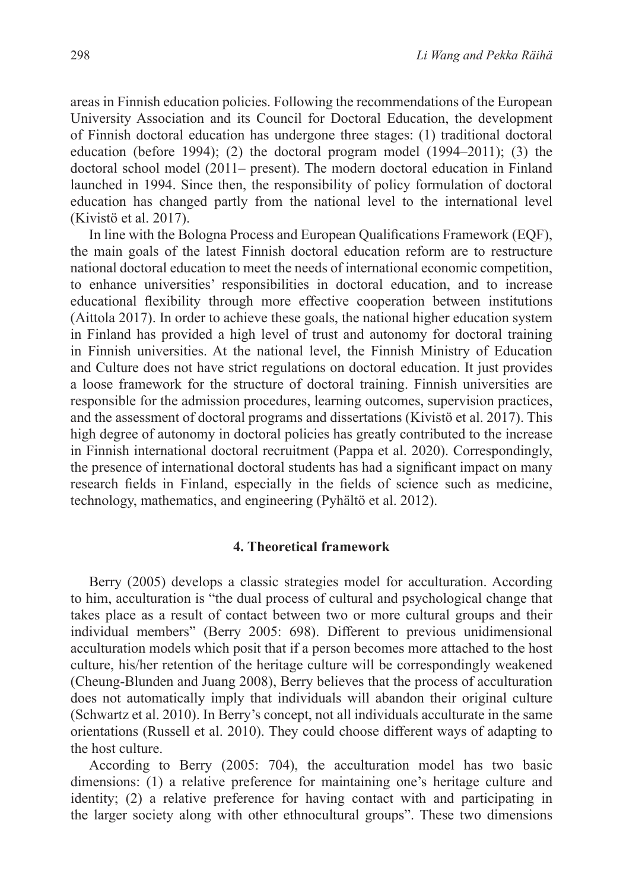areas in Finnish education policies. Following the recommendations of the European University Association and its Council for Doctoral Education, the development of Finnish doctoral education has undergone three stages: (1) traditional doctoral education (before 1994); (2) the doctoral program model  $(1994-2011)$ ; (3) the doctoral school model (2011– present). The modern doctoral education in Finland launched in 1994. Since then, the responsibility of policy formulation of doctoral education has changed partly from the national level to the international level (Kivistö et al. 2017).

In line with the Bologna Process and European Qualifications Framework (EQF), the main goals of the latest Finnish doctoral education reform are to restructure national doctoral education to meet the needs of international economic competition, to enhance universities' responsibilities in doctoral education, and to increase educational flexibility through more effective cooperation between institutions (Aittola 2017). In order to achieve these goals, the national higher education system in Finland has provided a high level of trust and autonomy for doctoral training in Finnish universities. At the national level, the Finnish Ministry of Education and Culture does not have strict regulations on doctoral education. It just provides a loose framework for the structure of doctoral training. Finnish universities are responsible for the admission procedures, learning outcomes, supervision practices, and the assessment of doctoral programs and dissertations (Kivistö et al. 2017). This high degree of autonomy in doctoral policies has greatly contributed to the increase in Finnish international doctoral recruitment (Pappa et al. 2020). Correspondingly, the presence of international doctoral students has had a significant impact on many research fields in Finland, especially in the fields of science such as medicine, technology, mathematics, and engineering (Pyhältö et al. 2012).

## **4. Theoretical framework**

Berry (2005) develops a classic strategies model for acculturation. According to him, acculturation is "the dual process of cultural and psychological change that takes place as a result of contact between two or more cultural groups and their individual members" (Berry 2005: 698). Different to previous unidimensional acculturation models which posit that if a person becomes more attached to the host culture, his/her retention of the heritage culture will be correspondingly weakened (Cheung-Blunden and Juang 2008), Berry believes that the process of acculturation does not automatically imply that individuals will abandon their original culture (Schwartz et al. 2010). In Berry's concept, not all individuals acculturate in the same orientations (Russell et al. 2010). They could choose different ways of adapting to the host culture.

According to Berry (2005: 704), the acculturation model has two basic dimensions: (1) a relative preference for maintaining one's heritage culture and identity; (2) a relative preference for having contact with and participating in the larger society along with other ethnocultural groups". These two dimensions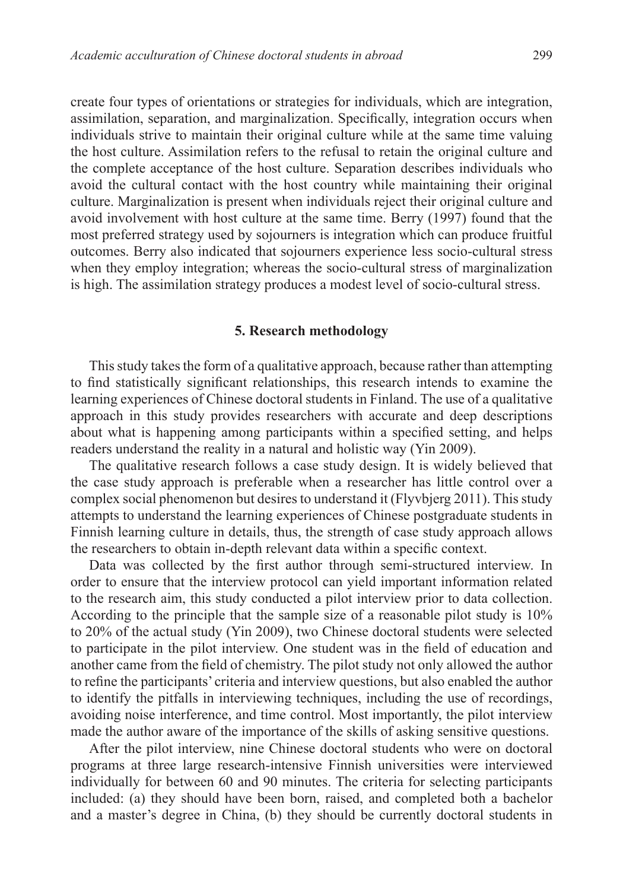create four types of orientations or strategies for individuals, which are integration, assimilation, separation, and marginalization. Specifically, integration occurs when individuals strive to maintain their original culture while at the same time valuing the host culture. Assimilation refers to the refusal to retain the original culture and the complete acceptance of the host culture. Separation describes individuals who avoid the cultural contact with the host country while maintaining their original culture. Marginalization is present when individuals reject their original culture and avoid involvement with host culture at the same time. Berry (1997) found that the most preferred strategy used by sojourners is integration which can produce fruitful outcomes. Berry also indicated that sojourners experience less socio-cultural stress when they employ integration; whereas the socio-cultural stress of marginalization is high. The assimilation strategy produces a modest level of socio-cultural stress.

#### **5. Research methodology**

This study takes the form of a qualitative approach, because rather than attempting to find statistically significant relationships, this research intends to examine the learning experiences of Chinese doctoral students in Finland. The use of a qualitative approach in this study provides researchers with accurate and deep descriptions about what is happening among participants within a specified setting, and helps readers understand the reality in a natural and holistic way (Yin 2009).

The qualitative research follows a case study design. It is widely believed that the case study approach is preferable when a researcher has little control over a complex social phenomenon but desires to understand it (Flyvbjerg 2011). This study attempts to understand the learning experiences of Chinese postgraduate students in Finnish learning culture in details, thus, the strength of case study approach allows the researchers to obtain in-depth relevant data within a specific context.

Data was collected by the first author through semi-structured interview. In order to ensure that the interview protocol can yield important information related to the research aim, this study conducted a pilot interview prior to data collection. According to the principle that the sample size of a reasonable pilot study is 10% to 20% of the actual study (Yin 2009), two Chinese doctoral students were selected to participate in the pilot interview. One student was in the field of education and another came from the field of chemistry. The pilot study not only allowed the author to refine the participants' criteria and interview questions, but also enabled the author to identify the pitfalls in interviewing techniques, including the use of recordings, avoiding noise interference, and time control. Most importantly, the pilot interview made the author aware of the importance of the skills of asking sensitive questions.

After the pilot interview, nine Chinese doctoral students who were on doctoral programs at three large research-intensive Finnish universities were interviewed individually for between 60 and 90 minutes. The criteria for selecting participants included: (a) they should have been born, raised, and completed both a bachelor and a master's degree in China, (b) they should be currently doctoral students in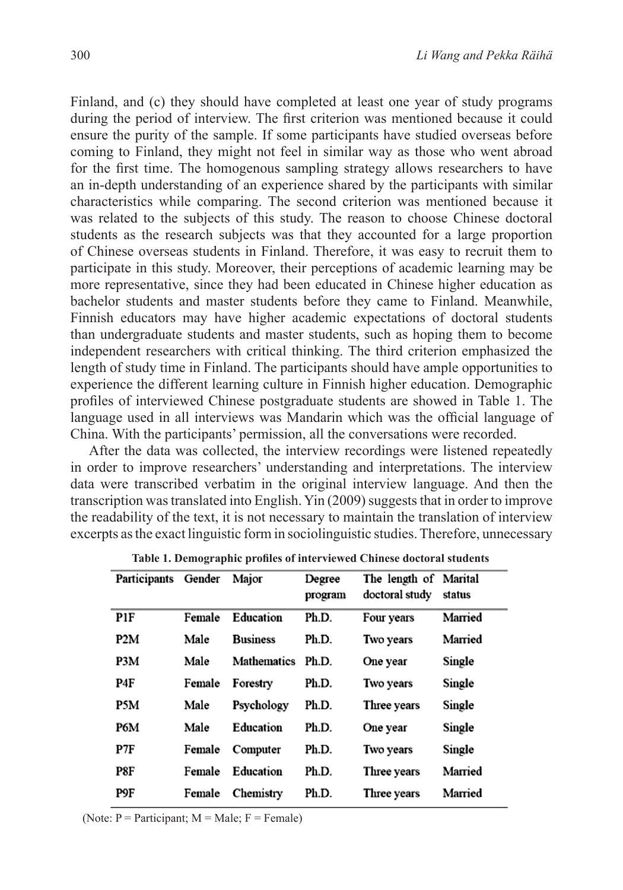Finland, and (c) they should have completed at least one year of study programs during the period of interview. The first criterion was mentioned because it could ensure the purity of the sample. If some participants have studied overseas before coming to Finland, they might not feel in similar way as those who went abroad for the first time. The homogenous sampling strategy allows researchers to have an in-depth understanding of an experience shared by the participants with similar characteristics while comparing. The second criterion was mentioned because it was related to the subjects of this study. The reason to choose Chinese doctoral students as the research subjects was that they accounted for a large proportion of Chinese overseas students in Finland. Therefore, it was easy to recruit them to participate in this study. Moreover, their perceptions of academic learning may be more representative, since they had been educated in Chinese higher education as bachelor students and master students before they came to Finland. Meanwhile, Finnish educators may have higher academic expectations of doctoral students than undergraduate students and master students, such as hoping them to become independent researchers with critical thinking. The third criterion emphasized the length of study time in Finland. The participants should have ample opportunities to experience the different learning culture in Finnish higher education. Demographic profiles of interviewed Chinese postgraduate students are showed in Table 1. The language used in all interviews was Mandarin which was the official language of China. With the participants' permission, all the conversations were recorded.

After the data was collected, the interview recordings were listened repeatedly in order to improve researchers' understanding and interpretations. The interview data were transcribed verbatim in the original interview language. And then the transcription was translated into English. Yin (2009) suggests that in order to improve the readability of the text, it is not necessary to maintain the translation of interview excerpts as the exact linguistic form in sociolinguistic studies. Therefore, unnecessary

| Participants Gender |        | Major              | Degree<br>program | The length of Marital<br>doctoral study | status  |
|---------------------|--------|--------------------|-------------------|-----------------------------------------|---------|
| P1F                 | Female | Education          | Ph.D.             | Four years                              | Married |
| P <sub>2</sub> M    | Male   | <b>Business</b>    | Ph.D.             | Two years                               | Married |
| P3M                 | Male   | <b>Mathematics</b> | Ph.D.             | One year                                | Single  |
| P4F                 | Female | Forestry           | Ph.D.             | Two years                               | Single  |
| P5M                 | Male   | Psychology         | Ph.D.             | Three years                             | Single  |
| P6M                 | Male   | Education          | Ph.D.             | One year                                | Single  |
| P7F                 | Female | Computer           | Ph.D.             | Two years                               | Single  |
| P8F                 | Female | Education          | Ph.D.             | Three years                             | Married |
| P9F                 | Female | Chemistry          | Ph.D.             | Three years                             | Married |

**Table 1. Demographic profiles of interviewed Chinese doctoral students** 

(Note:  $P =$  Participant;  $M =$  Male;  $F =$  Female)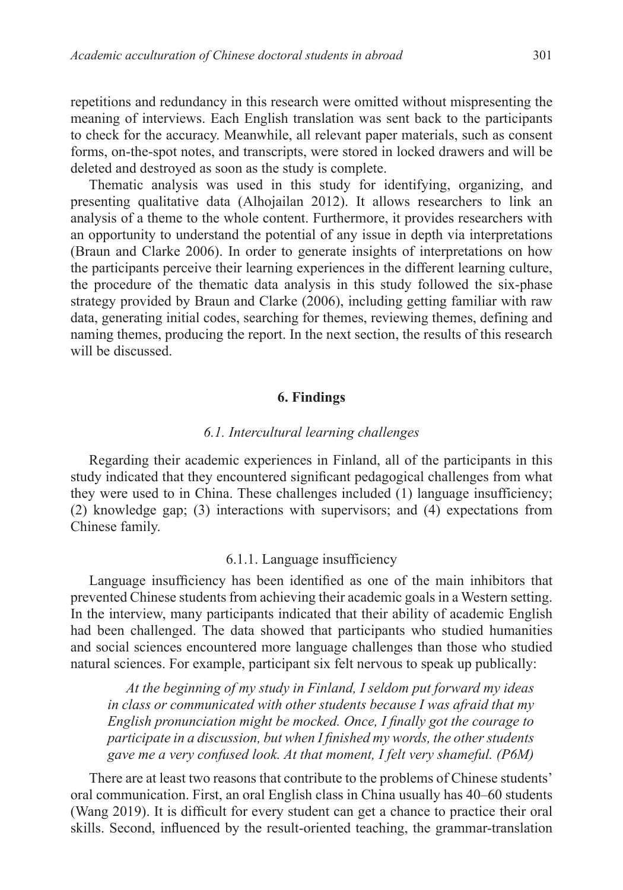repetitions and redundancy in this research were omitted without mispresenting the meaning of interviews. Each English translation was sent back to the participants to check for the accuracy. Meanwhile, all relevant paper materials, such as consent forms, on-the-spot notes, and transcripts, were stored in locked drawers and will be deleted and destroyed as soon as the study is complete.

Thematic analysis was used in this study for identifying, organizing, and presenting qualitative data (Alhojailan 2012). It allows researchers to link an analysis of a theme to the whole content. Furthermore, it provides researchers with an opportunity to understand the potential of any issue in depth via interpretations (Braun and Clarke 2006). In order to generate insights of interpretations on how the participants perceive their learning experiences in the different learning culture, the procedure of the thematic data analysis in this study followed the six-phase strategy provided by Braun and Clarke (2006), including getting familiar with raw data, generating initial codes, searching for themes, reviewing themes, defining and naming themes, producing the report. In the next section, the results of this research will be discussed.

### **6. Findings**

### *6.1. Intercultural learning challenges*

Regarding their academic experiences in Finland, all of the participants in this study indicated that they encountered significant pedagogical challenges from what they were used to in China. These challenges included (1) language insufficiency; (2) knowledge gap; (3) interactions with supervisors; and (4) expectations from Chinese family.

## 6.1.1. Language insufficiency

Language insufficiency has been identified as one of the main inhibitors that prevented Chinese students from achieving their academic goals in a Western setting. In the interview, many participants indicated that their ability of academic English had been challenged. The data showed that participants who studied humanities and social sciences encountered more language challenges than those who studied natural sciences. For example, participant six felt nervous to speak up publically:

*At the beginning of my study in Finland, I seldom put forward my ideas in class or communicated with other students because I was afraid that my English pronunciation might be mocked. Once, I finally got the courage to participate in a discussion, but when I finished my words, the other students gave me a very confused look. At that moment, I felt very shameful. (P6M)*

There are at least two reasons that contribute to the problems of Chinese students' oral communication. First, an oral English class in China usually has 40–60 students (Wang 2019). It is difficult for every student can get a chance to practice their oral skills. Second, influenced by the result-oriented teaching, the grammar-translation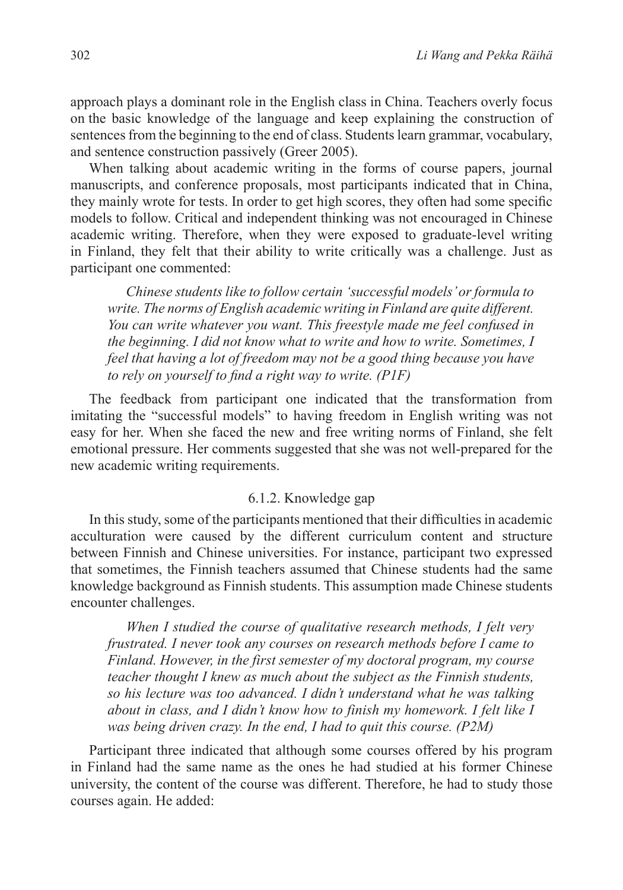approach plays a dominant role in the English class in China. Teachers overly focus on the basic knowledge of the language and keep explaining the construction of sentences from the beginning to the end of class. Students learn grammar, vocabulary, and sentence construction passively (Greer 2005).

When talking about academic writing in the forms of course papers, journal manuscripts, and conference proposals, most participants indicated that in China, they mainly wrote for tests. In order to get high scores, they often had some specific models to follow. Critical and independent thinking was not encouraged in Chinese academic writing. Therefore, when they were exposed to graduate-level writing in Finland, they felt that their ability to write critically was a challenge. Just as participant one commented:

*Chinese students like to follow certain 'successful models' or formula to write. The norms of English academic writing in Finland are quite different. You can write whatever you want. This freestyle made me feel confused in the beginning. I did not know what to write and how to write. Sometimes, I feel that having a lot of freedom may not be a good thing because you have to rely on yourself to find a right way to write. (P1F)*

The feedback from participant one indicated that the transformation from imitating the "successful models" to having freedom in English writing was not easy for her. When she faced the new and free writing norms of Finland, she felt emotional pressure. Her comments suggested that she was not well-prepared for the new academic writing requirements.

### 6.1.2. Knowledge gap

In this study, some of the participants mentioned that their difficulties in academic acculturation were caused by the different curriculum content and structure between Finnish and Chinese universities. For instance, participant two expressed that sometimes, the Finnish teachers assumed that Chinese students had the same knowledge background as Finnish students. This assumption made Chinese students encounter challenges.

*When I studied the course of qualitative research methods, I felt very frustrated. I never took any courses on research methods before I came to Finland. However, in the first semester of my doctoral program, my course teacher thought I knew as much about the subject as the Finnish students, so his lecture was too advanced. I didn't understand what he was talking about in class, and I didn't know how to finish my homework. I felt like I was being driven crazy. In the end, I had to quit this course. (P2M)*

Participant three indicated that although some courses offered by his program in Finland had the same name as the ones he had studied at his former Chinese university, the content of the course was different. Therefore, he had to study those courses again. He added: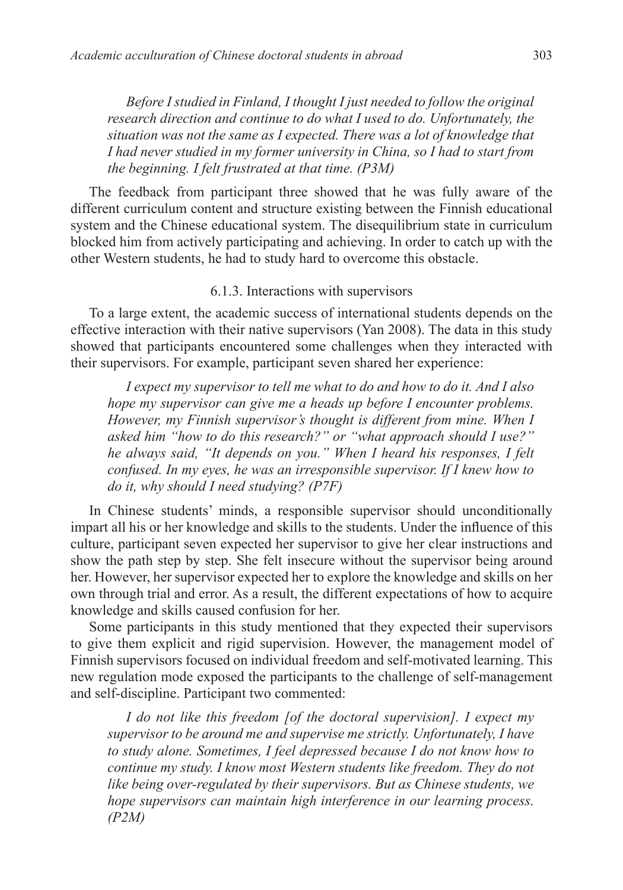*Before I studied in Finland, I thought I just needed to follow the original research direction and continue to do what I used to do. Unfortunately, the situation was not the same as I expected. There was a lot of knowledge that I had never studied in my former university in China, so I had to start from the beginning. I felt frustrated at that time. (P3M)* 

The feedback from participant three showed that he was fully aware of the different curriculum content and structure existing between the Finnish educational system and the Chinese educational system. The disequilibrium state in curriculum blocked him from actively participating and achieving. In order to catch up with the other Western students, he had to study hard to overcome this obstacle.

# 6.1.3. Interactions with supervisors

To a large extent, the academic success of international students depends on the effective interaction with their native supervisors (Yan 2008). The data in this study showed that participants encountered some challenges when they interacted with their supervisors. For example, participant seven shared her experience:

*I expect my supervisor to tell me what to do and how to do it. And I also hope my supervisor can give me a heads up before I encounter problems. However, my Finnish supervisor's thought is different from mine. When I asked him "how to do this research?" or "what approach should I use?" he always said, "It depends on you." When I heard his responses, I felt confused. In my eyes, he was an irresponsible supervisor. If I knew how to do it, why should I need studying? (P7F)*

In Chinese students' minds, a responsible supervisor should unconditionally impart all his or her knowledge and skills to the students. Under the influence of this culture, participant seven expected her supervisor to give her clear instructions and show the path step by step. She felt insecure without the supervisor being around her. However, her supervisor expected her to explore the knowledge and skills on her own through trial and error. As a result, the different expectations of how to acquire knowledge and skills caused confusion for her.

Some participants in this study mentioned that they expected their supervisors to give them explicit and rigid supervision. However, the management model of Finnish supervisors focused on individual freedom and self-motivated learning. This new regulation mode exposed the participants to the challenge of self-management and self-discipline. Participant two commented:

*I do not like this freedom [of the doctoral supervision]. I expect my supervisor to be around me and supervise me strictly. Unfortunately, I have to study alone. Sometimes, I feel depressed because I do not know how to continue my study. I know most Western students like freedom. They do not like being over-regulated by their supervisors. But as Chinese students, we hope supervisors can maintain high interference in our learning process. (P2M)*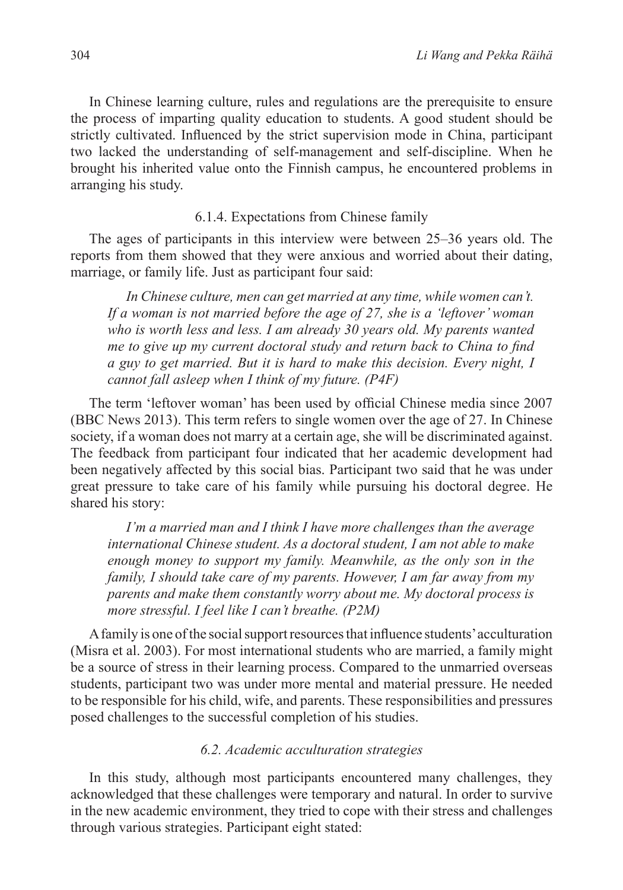In Chinese learning culture, rules and regulations are the prerequisite to ensure the process of imparting quality education to students. A good student should be strictly cultivated. Influenced by the strict supervision mode in China, participant two lacked the understanding of self-management and self-discipline. When he brought his inherited value onto the Finnish campus, he encountered problems in arranging his study.

## 6.1.4. Expectations from Chinese family

The ages of participants in this interview were between 25–36 years old. The reports from them showed that they were anxious and worried about their dating, marriage, or family life. Just as participant four said:

*In Chinese culture, men can get married at any time, while women can't. If a woman is not married before the age of 27, she is a 'leftover' woman who is worth less and less. I am already 30 years old. My parents wanted me to give up my current doctoral study and return back to China to find a guy to get married. But it is hard to make this decision. Every night, I cannot fall asleep when I think of my future. (P4F)*

The term 'leftover woman' has been used by official Chinese media since 2007 (BBC News 2013). This term refers to single women over the age of 27. In Chinese society, if a woman does not marry at a certain age, she will be discriminated against. The feedback from participant four indicated that her academic development had been negatively affected by this social bias. Participant two said that he was under great pressure to take care of his family while pursuing his doctoral degree. He shared his story:

*I'm a married man and I think I have more challenges than the average international Chinese student. As a doctoral student, I am not able to make enough money to support my family. Meanwhile, as the only son in the family, I should take care of my parents. However, I am far away from my parents and make them constantly worry about me. My doctoral process is more stressful. I feel like I can't breathe. (P2M)*

A family is one of the social support resources that influence students' acculturation (Misra et al. 2003). For most international students who are married, a family might be a source of stress in their learning process. Compared to the unmarried overseas students, participant two was under more mental and material pressure. He needed to be responsible for his child, wife, and parents. These responsibilities and pressures posed challenges to the successful completion of his studies.

### *6.2. Academic acculturation strategies*

In this study, although most participants encountered many challenges, they acknowledged that these challenges were temporary and natural. In order to survive in the new academic environment, they tried to cope with their stress and challenges through various strategies. Participant eight stated: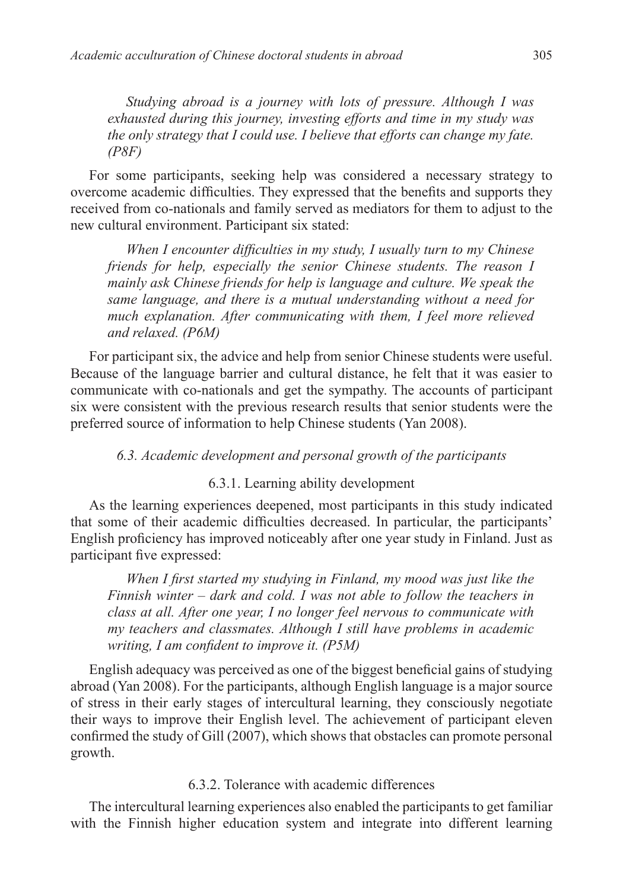*Studying abroad is a journey with lots of pressure. Although I was exhausted during this journey, investing efforts and time in my study was the only strategy that I could use. I believe that efforts can change my fate. (P8F)*

For some participants, seeking help was considered a necessary strategy to overcome academic difficulties. They expressed that the benefits and supports they received from co-nationals and family served as mediators for them to adjust to the new cultural environment. Participant six stated:

*When I encounter difficulties in my study, I usually turn to my Chinese friends for help, especially the senior Chinese students. The reason I mainly ask Chinese friends for help is language and culture. We speak the same language, and there is a mutual understanding without a need for much explanation. After communicating with them, I feel more relieved and relaxed. (P6M)*

For participant six, the advice and help from senior Chinese students were useful. Because of the language barrier and cultural distance, he felt that it was easier to communicate with co-nationals and get the sympathy. The accounts of participant six were consistent with the previous research results that senior students were the preferred source of information to help Chinese students (Yan 2008).

# *6.3. Academic development and personal growth of the participants*

## 6.3.1. Learning ability development

As the learning experiences deepened, most participants in this study indicated that some of their academic difficulties decreased. In particular, the participants' English proficiency has improved noticeably after one year study in Finland. Just as participant five expressed:

*When I first started my studying in Finland, my mood was just like the Finnish winter – dark and cold. I was not able to follow the teachers in class at all. After one year, I no longer feel nervous to communicate with my teachers and classmates. Although I still have problems in academic writing, I am confident to improve it. (P5M)*

English adequacy was perceived as one of the biggest beneficial gains of studying abroad (Yan 2008). For the participants, although English language is a major source of stress in their early stages of intercultural learning, they consciously negotiate their ways to improve their English level. The achievement of participant eleven confirmed the study of Gill (2007), which shows that obstacles can promote personal growth.

## 6.3.2. Tolerance with academic differences

The intercultural learning experiences also enabled the participants to get familiar with the Finnish higher education system and integrate into different learning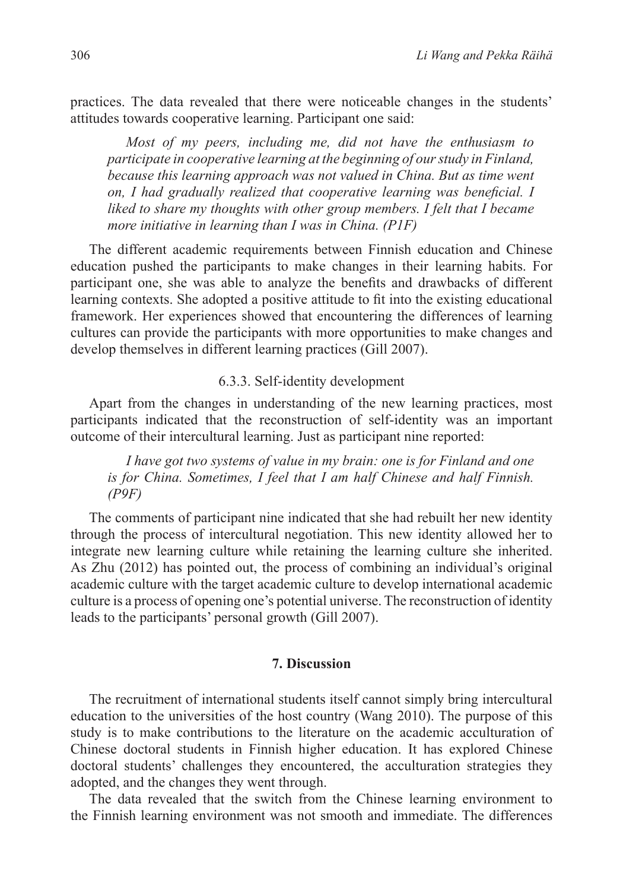practices. The data revealed that there were noticeable changes in the students' attitudes towards cooperative learning. Participant one said:

*Most of my peers, including me, did not have the enthusiasm to participate in cooperative learning at the beginning of our study in Finland, because this learning approach was not valued in China. But as time went on, I had gradually realized that cooperative learning was beneficial. I liked to share my thoughts with other group members. I felt that I became more initiative in learning than I was in China. (P1F)*

The different academic requirements between Finnish education and Chinese education pushed the participants to make changes in their learning habits. For participant one, she was able to analyze the benefits and drawbacks of different learning contexts. She adopted a positive attitude to fit into the existing educational framework. Her experiences showed that encountering the differences of learning cultures can provide the participants with more opportunities to make changes and develop themselves in different learning practices (Gill 2007).

### 6.3.3. Self-identity development

Apart from the changes in understanding of the new learning practices, most participants indicated that the reconstruction of self-identity was an important outcome of their intercultural learning. Just as participant nine reported:

*I have got two systems of value in my brain: one is for Finland and one is for China. Sometimes, I feel that I am half Chinese and half Finnish. (P9F)*

The comments of participant nine indicated that she had rebuilt her new identity through the process of intercultural negotiation. This new identity allowed her to integrate new learning culture while retaining the learning culture she inherited. As Zhu (2012) has pointed out, the process of combining an individual's original academic culture with the target academic culture to develop international academic culture is a process of opening one's potential universe. The reconstruction of identity leads to the participants' personal growth (Gill 2007).

## **7. Discussion**

The recruitment of international students itself cannot simply bring intercultural education to the universities of the host country (Wang 2010). The purpose of this study is to make contributions to the literature on the academic acculturation of Chinese doctoral students in Finnish higher education. It has explored Chinese doctoral students' challenges they encountered, the acculturation strategies they adopted, and the changes they went through.

The data revealed that the switch from the Chinese learning environment to the Finnish learning environment was not smooth and immediate. The differences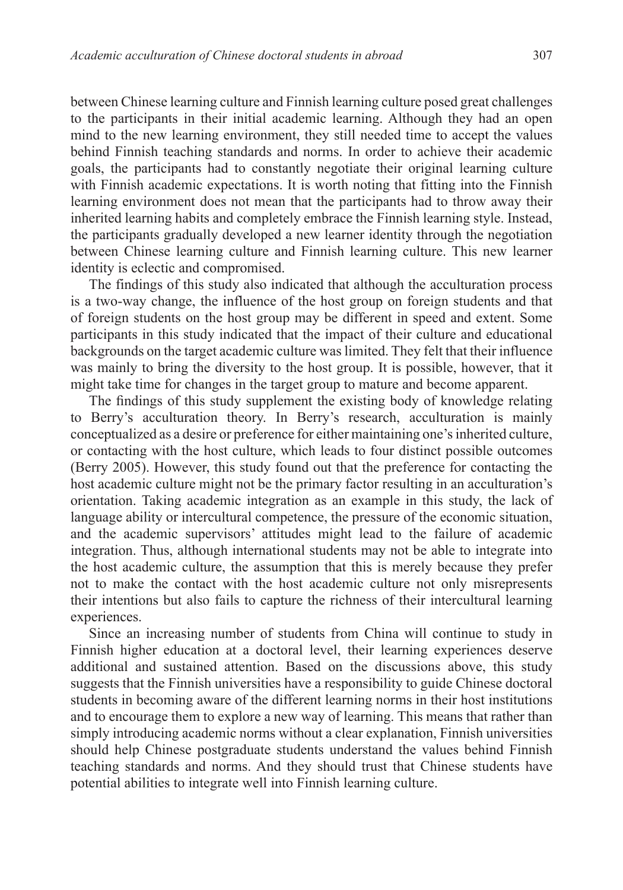between Chinese learning culture and Finnish learning culture posed great challenges to the participants in their initial academic learning. Although they had an open mind to the new learning environment, they still needed time to accept the values behind Finnish teaching standards and norms. In order to achieve their academic goals, the participants had to constantly negotiate their original learning culture with Finnish academic expectations. It is worth noting that fitting into the Finnish learning environment does not mean that the participants had to throw away their inherited learning habits and completely embrace the Finnish learning style. Instead, the participants gradually developed a new learner identity through the negotiation between Chinese learning culture and Finnish learning culture. This new learner identity is eclectic and compromised.

The findings of this study also indicated that although the acculturation process is a two-way change, the influence of the host group on foreign students and that of foreign students on the host group may be different in speed and extent. Some participants in this study indicated that the impact of their culture and educational backgrounds on the target academic culture was limited. They felt that their influence was mainly to bring the diversity to the host group. It is possible, however, that it might take time for changes in the target group to mature and become apparent.

The findings of this study supplement the existing body of knowledge relating to Berry's acculturation theory. In Berry's research, acculturation is mainly conceptualized as a desire or preference for either maintaining one's inherited culture, or contacting with the host culture, which leads to four distinct possible outcomes (Berry 2005). However, this study found out that the preference for contacting the host academic culture might not be the primary factor resulting in an acculturation's orientation. Taking academic integration as an example in this study, the lack of language ability or intercultural competence, the pressure of the economic situation, and the academic supervisors' attitudes might lead to the failure of academic integration. Thus, although international students may not be able to integrate into the host academic culture, the assumption that this is merely because they prefer not to make the contact with the host academic culture not only misrepresents their intentions but also fails to capture the richness of their intercultural learning experiences.

Since an increasing number of students from China will continue to study in Finnish higher education at a doctoral level, their learning experiences deserve additional and sustained attention. Based on the discussions above, this study suggests that the Finnish universities have a responsibility to guide Chinese doctoral students in becoming aware of the different learning norms in their host institutions and to encourage them to explore a new way of learning. This means that rather than simply introducing academic norms without a clear explanation, Finnish universities should help Chinese postgraduate students understand the values behind Finnish teaching standards and norms. And they should trust that Chinese students have potential abilities to integrate well into Finnish learning culture.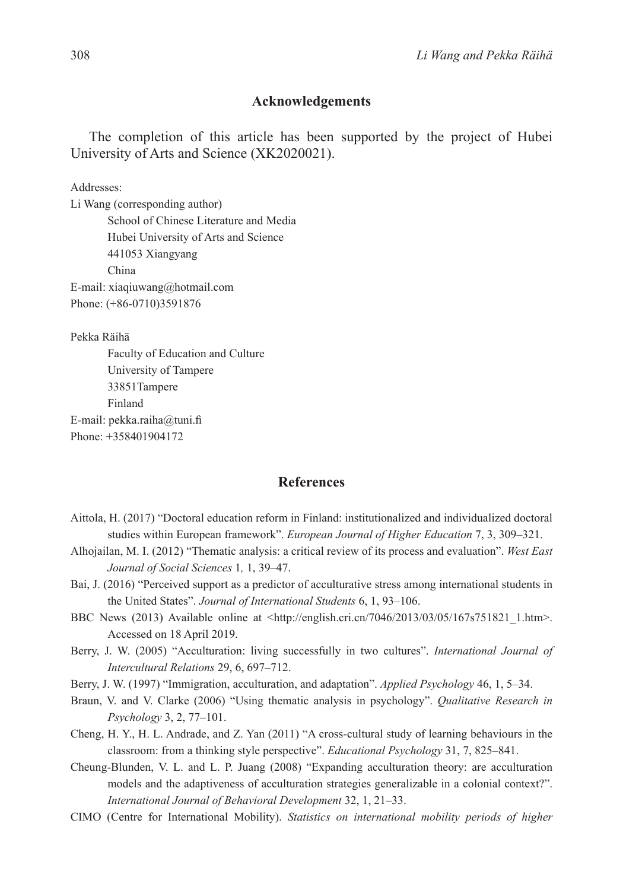### **Acknowledgements**

The completion of this article has been supported by the project of Hubei University of Arts and Science (XK2020021).

Addresses:

Li Wang (corresponding author) School of Chinese Literature and Media Hubei University of Arts and Science 441053 Xiangyang China E-mail: xiaqiuwang@hotmail.com Phone: (+86-0710)3591876

Pekka Räihä

Faculty of Education and Culture University of Tampere 33851Tampere Finland E-mail: pekka.raiha@tuni.fi Phone: +358401904172

### **References**

- Aittola, H. (2017) "Doctoral education reform in Finland: institutionalized and individualized doctoral studies within European framework". *European Journal of Higher Education* 7, 3, 309–321.
- Alhojailan, M. I. (2012) "Thematic analysis: a critical review of its process and evaluation". *West East Journal of Social Sciences* 1*,* 1, 39–47.
- Bai, J. (2016) "Perceived support as a predictor of acculturative stress among international students in the United States". *Journal of International Students* 6, 1, 93–106.
- BBC News (2013) Available online at <http://english.cri.cn/7046/2013/03/05/167s751821 1.htm>. Accessed on 18 April 2019.
- Berry, J. W. (2005) "Acculturation: living successfully in two cultures". *International Journal of Intercultural Relations* 29, 6, 697–712.
- Berry, J. W. (1997) "Immigration, acculturation, and adaptation". *Applied Psychology* 46, 1, 5–34.
- Braun, V. and V. Clarke (2006) "Using thematic analysis in psychology". *Qualitative Research in Psychology* 3, 2, 77–101.
- Cheng, H. Y., H. L. Andrade, and Z. Yan (2011) "A cross-cultural study of learning behaviours in the classroom: from a thinking style perspective". *Educational Psychology* 31, 7, 825–841.
- Cheung-Blunden, V. L. and L. P. Juang (2008) "Expanding acculturation theory: are acculturation models and the adaptiveness of acculturation strategies generalizable in a colonial context?". *International Journal of Behavioral Development* 32, 1, 21–33.
- CIMO (Centre for International Mobility). *Statistics on international mobility periods of higher*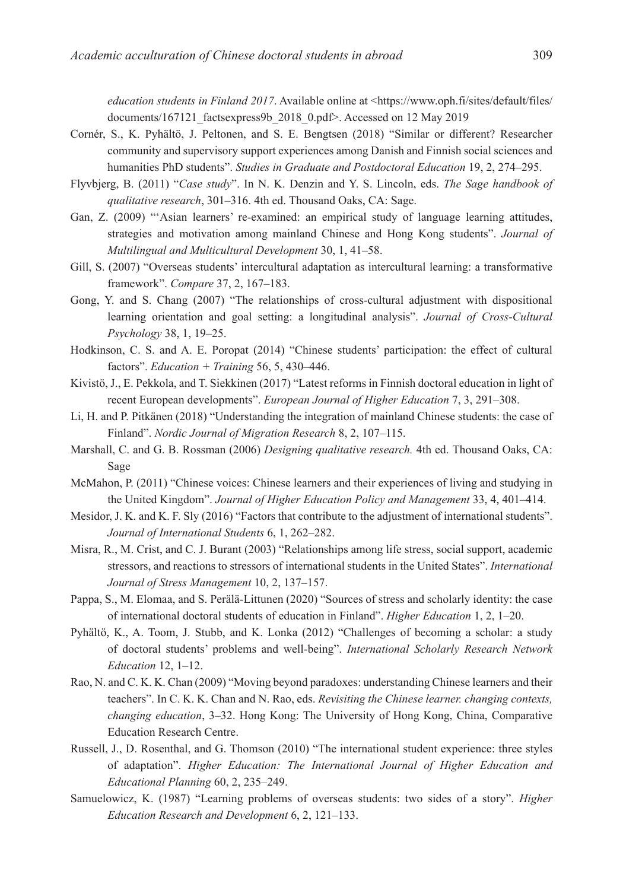*education students in Finland 2017*. Available online at <https://www.oph.fi/sites/default/files/ documents/167121\_factsexpress9b\_2018\_0.pdf>. Accessed on 12 May 2019

- Cornér, S., K. Pyhältö, J. Peltonen, and S. E. Bengtsen (2018) "Similar or different? Researcher community and supervisory support experiences among Danish and Finnish social sciences and humanities PhD students". *Studies in Graduate and Postdoctoral Education* 19, 2, 274–295.
- Flyvbjerg, B. (2011) "*Case study*". In N. K. Denzin and Y. S. Lincoln, eds. *The Sage handbook of qualitative research*, 301–316. 4th ed. Thousand Oaks, CA: Sage.
- Gan, Z. (2009) "'Asian learners' re-examined: an empirical study of language learning attitudes, strategies and motivation among mainland Chinese and Hong Kong students". *Journal of Multilingual and Multicultural Development* 30, 1, 41–58.
- Gill, S. (2007) "Overseas students' intercultural adaptation as intercultural learning: a transformative framework". *Compare* 37, 2, 167–183.
- Gong, Y. and S. Chang (2007) "The relationships of cross-cultural adjustment with dispositional learning orientation and goal setting: a longitudinal analysis". *Journal of Cross-Cultural Psychology* 38, 1, 19–25.
- Hodkinson, C. S. and A. E. Poropat (2014) "Chinese students' participation: the effect of cultural factors". *Education + Training* 56, 5, 430–446.
- Kivistö, J., E. Pekkola, and T. Siekkinen (2017) "Latest reforms in Finnish doctoral education in light of recent European developments". *European Journal of Higher Education* 7, 3, 291–308.
- Li, H. and P. Pitkänen (2018) "Understanding the integration of mainland Chinese students: the case of Finland". *Nordic Journal of Migration Research* 8, 2, 107–115.
- Marshall, C. and G. B. Rossman (2006) *Designing qualitative research.* 4th ed. Thousand Oaks, CA: Sage
- McMahon, P. (2011) "Chinese voices: Chinese learners and their experiences of living and studying in the United Kingdom". *Journal of Higher Education Policy and Management* 33, 4, 401–414.
- Mesidor, J. K. and K. F. Sly (2016) "Factors that contribute to the adjustment of international students". *Journal of International Students* 6, 1, 262–282.
- Misra, R., M. Crist, and C. J. Burant (2003) "Relationships among life stress, social support, academic stressors, and reactions to stressors of international students in the United States". *International Journal of Stress Management* 10, 2, 137–157.
- Pappa, S., M. Elomaa, and S. Perälä-Littunen (2020) "Sources of stress and scholarly identity: the case of international doctoral students of education in Finland". *Higher Education* 1, 2, 1–20.
- Pyhältö, K., A. Toom, J. Stubb, and K. Lonka (2012) "Challenges of becoming a scholar: a study of doctoral students' problems and well-being". *International Scholarly Research Network Education* 12, 1–12.
- Rao, N. and C. K. K. Chan (2009) "Moving beyond paradoxes: understanding Chinese learners and their teachers". In C. K. K. Chan and N. Rao, eds. *Revisiting the Chinese learner. changing contexts, changing education*, 3–32. Hong Kong: The University of Hong Kong, China, Comparative Education Research Centre.
- Russell, J., D. Rosenthal, and G. Thomson (2010) "The international student experience: three styles of adaptation". *Higher Education: The International Journal of Higher Education and Educational Planning* 60, 2, 235–249.
- Samuelowicz, K. (1987) "Learning problems of overseas students: two sides of a story". *Higher Education Research and Development* 6, 2, 121–133.